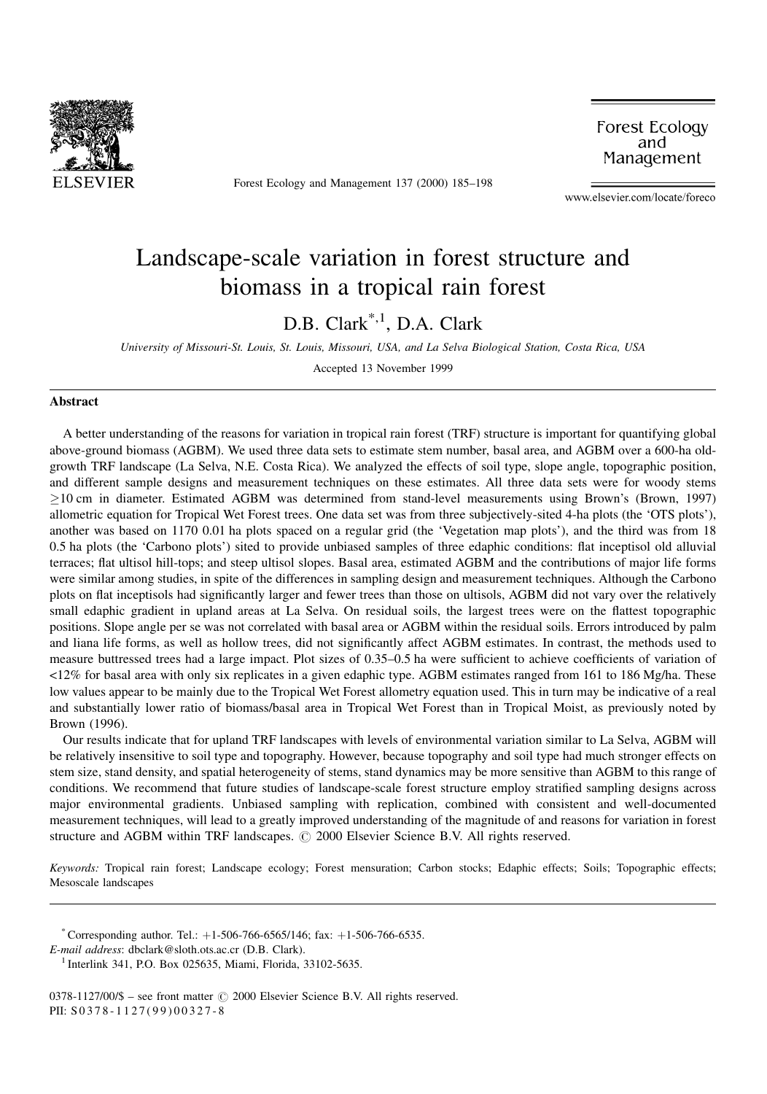

Forest Ecology and Management 137 (2000) 185-198

Forest Ecology and Management

www.elsevier.com/locate/foreco

# Landscape-scale variation in forest structure and biomass in a tropical rain forest

D.B. Clark<sup>\*,1</sup>, D.A. Clark

University of Missouri-St. Louis, St. Louis, Missouri, USA, and La Selva Biological Station, Costa Rica, USA

Accepted 13 November 1999

#### Abstract

A better understanding of the reasons for variation in tropical rain forest (TRF) structure is important for quantifying global above-ground biomass (AGBM). We used three data sets to estimate stem number, basal area, and AGBM over a 600-ha oldgrowth TRF landscape (La Selva, N.E. Costa Rica). We analyzed the effects of soil type, slope angle, topographic position, and different sample designs and measurement techniques on these estimates. All three data sets were for woody stems 10 cm in diameter. Estimated AGBM was determined from stand-level measurements using Brown's (Brown, 1997) allometric equation for Tropical Wet Forest trees. One data set was from three subjectively-sited 4-ha plots (the `OTS plots'), another was based on 1170 0.01 ha plots spaced on a regular grid (the 'Vegetation map plots'), and the third was from 18 0.5 ha plots (the 'Carbono plots') sited to provide unbiased samples of three edaphic conditions: flat inceptisol old alluvial terraces; flat ultisol hill-tops; and steep ultisol slopes. Basal area, estimated AGBM and the contributions of major life forms were similar among studies, in spite of the differences in sampling design and measurement techniques. Although the Carbono plots on flat inceptisols had significantly larger and fewer trees than those on ultisols, AGBM did not vary over the relatively small edaphic gradient in upland areas at La Selva. On residual soils, the largest trees were on the flattest topographic positions. Slope angle per se was not correlated with basal area or AGBM within the residual soils. Errors introduced by palm and liana life forms, as well as hollow trees, did not significantly affect AGBM estimates. In contrast, the methods used to measure buttressed trees had a large impact. Plot sizes of 0.35–0.5 ha were sufficient to achieve coefficients of variation of <12% for basal area with only six replicates in a given edaphic type. AGBM estimates ranged from 161 to 186 Mg/ha. These low values appear to be mainly due to the Tropical Wet Forest allometry equation used. This in turn may be indicative of a real and substantially lower ratio of biomass/basal area in Tropical Wet Forest than in Tropical Moist, as previously noted by Brown (1996).

Our results indicate that for upland TRF landscapes with levels of environmental variation similar to La Selva, AGBM will be relatively insensitive to soil type and topography. However, because topography and soil type had much stronger effects on stem size, stand density, and spatial heterogeneity of stems, stand dynamics may be more sensitive than AGBM to this range of conditions. We recommend that future studies of landscape-scale forest structure employ stratified sampling designs across major environmental gradients. Unbiased sampling with replication, combined with consistent and well-documented measurement techniques, will lead to a greatly improved understanding of the magnitude of and reasons for variation in forest structure and AGBM within TRF landscapes.  $\odot$  2000 Elsevier Science B.V. All rights reserved.

Keywords: Tropical rain forest; Landscape ecology; Forest mensuration; Carbon stocks; Edaphic effects; Soils; Topographic effects; Mesoscale landscapes

\* Corresponding author. Tel.:  $+1-506-766-6565/146$ ; fax:  $+1-506-766-6535$ .<br>E-mail address: dbclark@sloth.ots.ac.cr (D.B. Clark).

0378-1127/00/\$ - see front matter  $\odot$  2000 Elsevier Science B.V. All rights reserved. PII: S 0378-1127(99)00327-8

<sup>&</sup>lt;sup>1</sup> Interlink 341, P.O. Box 025635, Miami, Florida, 33102-5635.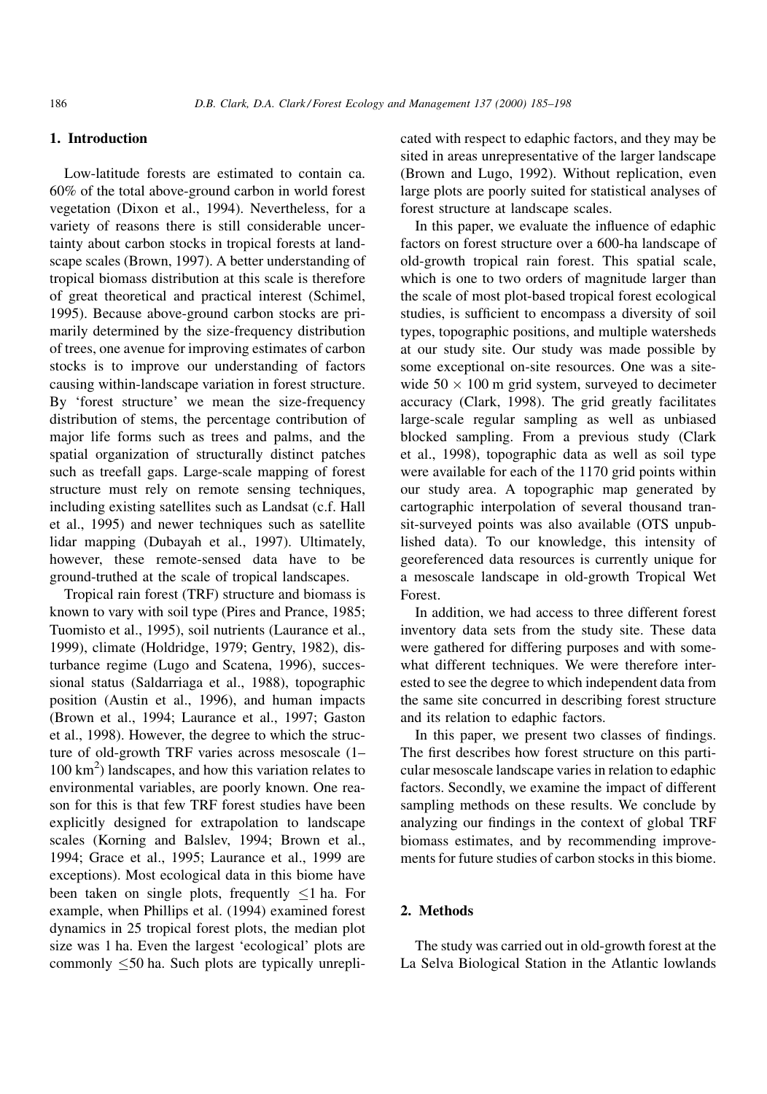## 1. Introduction

Low-latitude forests are estimated to contain ca. 60% of the total above-ground carbon in world forest vegetation (Dixon et al., 1994). Nevertheless, for a variety of reasons there is still considerable uncertainty about carbon stocks in tropical forests at landscape scales (Brown, 1997). A better understanding of tropical biomass distribution at this scale is therefore of great theoretical and practical interest (Schimel, 1995). Because above-ground carbon stocks are primarily determined by the size-frequency distribution of trees, one avenue for improving estimates of carbon stocks is to improve our understanding of factors causing within-landscape variation in forest structure. By 'forest structure' we mean the size-frequency distribution of stems, the percentage contribution of major life forms such as trees and palms, and the spatial organization of structurally distinct patches such as treefall gaps. Large-scale mapping of forest structure must rely on remote sensing techniques, including existing satellites such as Landsat (c.f. Hall et al., 1995) and newer techniques such as satellite lidar mapping (Dubayah et al., 1997). Ultimately, however, these remote-sensed data have to be ground-truthed at the scale of tropical landscapes.

Tropical rain forest (TRF) structure and biomass is known to vary with soil type (Pires and Prance, 1985; Tuomisto et al., 1995), soil nutrients (Laurance et al., 1999), climate (Holdridge, 1979; Gentry, 1982), disturbance regime (Lugo and Scatena, 1996), successional status (Saldarriaga et al., 1988), topographic position (Austin et al., 1996), and human impacts (Brown et al., 1994; Laurance et al., 1997; Gaston et al., 1998). However, the degree to which the structure of old-growth TRF varies across mesoscale  $(1-$ 100 km2 ) landscapes, and how this variation relates to environmental variables, are poorly known. One reason for this is that few TRF forest studies have been explicitly designed for extrapolation to landscape scales (Korning and Balslev, 1994; Brown et al., 1994; Grace et al., 1995; Laurance et al., 1999 are exceptions). Most ecological data in this biome have been taken on single plots, frequently  $\leq 1$  ha. For example, when Phillips et al. (1994) examined forest dynamics in 25 tropical forest plots, the median plot size was 1 ha. Even the largest 'ecological' plots are commonly  $\leq 50$  ha. Such plots are typically unreplicated with respect to edaphic factors, and they may be sited in areas unrepresentative of the larger landscape (Brown and Lugo, 1992). Without replication, even large plots are poorly suited for statistical analyses of forest structure at landscape scales.

In this paper, we evaluate the influence of edaphic factors on forest structure over a 600-ha landscape of old-growth tropical rain forest. This spatial scale, which is one to two orders of magnitude larger than the scale of most plot-based tropical forest ecological studies, is sufficient to encompass a diversity of soil types, topographic positions, and multiple watersheds at our study site. Our study was made possible by some exceptional on-site resources. One was a sitewide  $50 \times 100$  m grid system, surveyed to decimeter accuracy (Clark, 1998). The grid greatly facilitates large-scale regular sampling as well as unbiased blocked sampling. From a previous study (Clark et al., 1998), topographic data as well as soil type were available for each of the 1170 grid points within our study area. A topographic map generated by cartographic interpolation of several thousand transit-surveyed points was also available (OTS unpublished data). To our knowledge, this intensity of georeferenced data resources is currently unique for a mesoscale landscape in old-growth Tropical Wet Forest.

In addition, we had access to three different forest inventory data sets from the study site. These data were gathered for differing purposes and with somewhat different techniques. We were therefore interested to see the degree to which independent data from the same site concurred in describing forest structure and its relation to edaphic factors.

In this paper, we present two classes of findings. The first describes how forest structure on this particular mesoscale landscape varies in relation to edaphic factors. Secondly, we examine the impact of different sampling methods on these results. We conclude by analyzing our findings in the context of global TRF biomass estimates, and by recommending improvements for future studies of carbon stocks in this biome.

## 2. Methods

The study was carried out in old-growth forest at the La Selva Biological Station in the Atlantic lowlands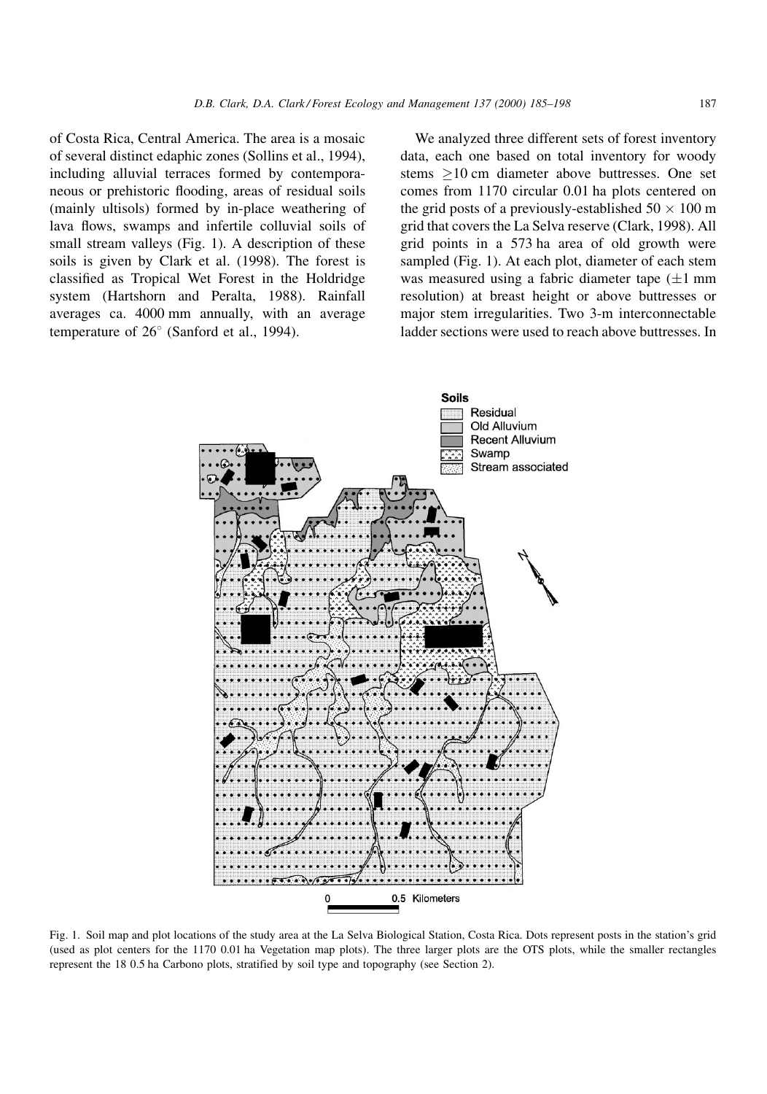of Costa Rica, Central America. The area is a mosaic of several distinct edaphic zones (Sollins et al., 1994), including alluvial terraces formed by contemporaneous or prehistoric flooding, areas of residual soils (mainly ultisols) formed by in-place weathering of lava flows, swamps and infertile colluvial soils of small stream valleys (Fig. 1). A description of these soils is given by Clark et al. (1998). The forest is classified as Tropical Wet Forest in the Holdridge system (Hartshorn and Peralta, 1988). Rainfall averages ca. 4000 mm annually, with an average temperature of  $26^{\circ}$  (Sanford et al., 1994).

We analyzed three different sets of forest inventory data, each one based on total inventory for woody stems  $\geq 10$  cm diameter above buttresses. One set comes from 1170 circular 0.01 ha plots centered on the grid posts of a previously-established  $50 \times 100$  m grid that covers the La Selva reserve (Clark, 1998). All grid points in a 573 ha area of old growth were sampled (Fig. 1). At each plot, diameter of each stem was measured using a fabric diameter tape  $(\pm 1 \text{ mm})$ resolution) at breast height or above buttresses or major stem irregularities. Two 3-m interconnectable ladder sections were used to reach above buttresses. In



Fig. 1. Soil map and plot locations of the study area at the La Selva Biological Station, Costa Rica. Dots represent posts in the station's grid (used as plot centers for the 1170 0.01 ha Vegetation map plots). The three larger plots are the OTS plots, while the smaller rectangles represent the 18 0.5 ha Carbono plots, stratified by soil type and topography (see Section 2).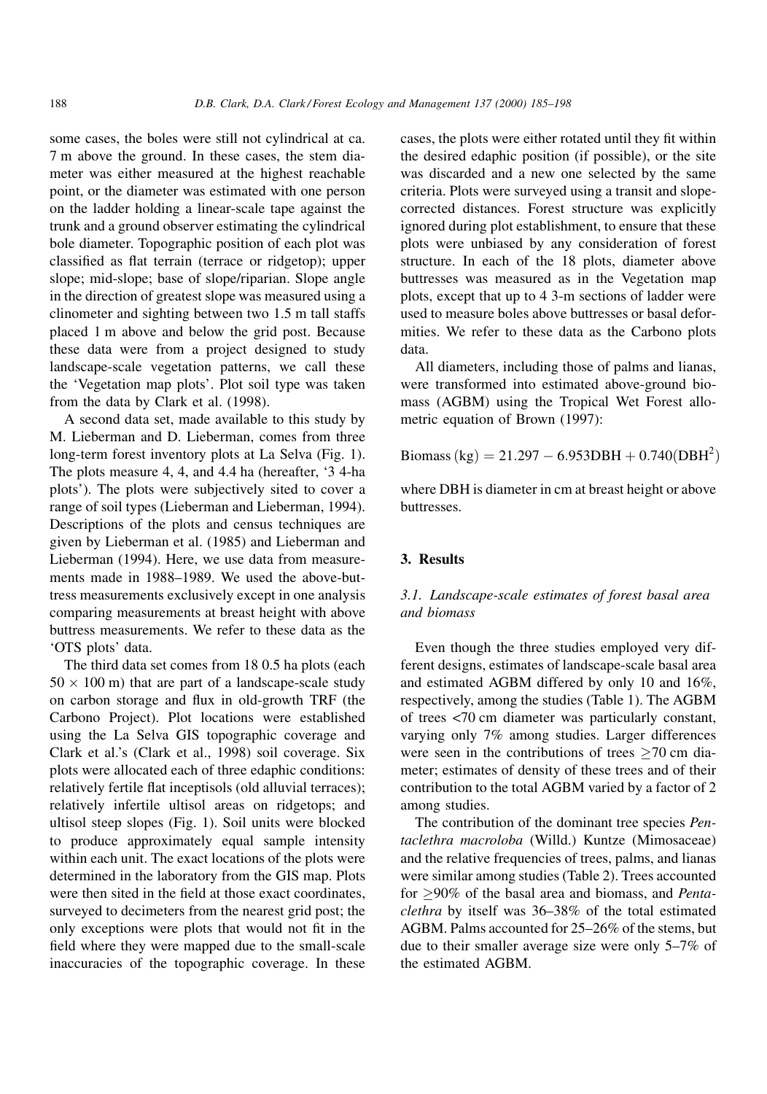some cases, the boles were still not cylindrical at ca. 7 m above the ground. In these cases, the stem diameter was either measured at the highest reachable point, or the diameter was estimated with one person on the ladder holding a linear-scale tape against the trunk and a ground observer estimating the cylindrical bole diameter. Topographic position of each plot was classified as flat terrain (terrace or ridgetop); upper slope; mid-slope; base of slope/riparian. Slope angle in the direction of greatest slope was measured using a clinometer and sighting between two 1.5 m tall staffs placed 1 m above and below the grid post. Because these data were from a project designed to study landscape-scale vegetation patterns, we call these the `Vegetation map plots'. Plot soil type was taken from the data by Clark et al. (1998).

A second data set, made available to this study by M. Lieberman and D. Lieberman, comes from three long-term forest inventory plots at La Selva (Fig. 1). The plots measure 4, 4, and 4.4 ha (hereafter, `3 4-ha plots'). The plots were subjectively sited to cover a range of soil types (Lieberman and Lieberman, 1994). Descriptions of the plots and census techniques are given by Lieberman et al. (1985) and Lieberman and Lieberman (1994). Here, we use data from measurements made in 1988-1989. We used the above-buttress measurements exclusively except in one analysis comparing measurements at breast height with above buttress measurements. We refer to these data as the `OTS plots' data.

The third data set comes from 18 0.5 ha plots (each  $50 \times 100$  m) that are part of a landscape-scale study on carbon storage and flux in old-growth TRF (the Carbono Project). Plot locations were established using the La Selva GIS topographic coverage and Clark et al.'s (Clark et al., 1998) soil coverage. Six plots were allocated each of three edaphic conditions: relatively fertile flat inceptisols (old alluvial terraces); relatively infertile ultisol areas on ridgetops; and ultisol steep slopes (Fig. 1). Soil units were blocked to produce approximately equal sample intensity within each unit. The exact locations of the plots were determined in the laboratory from the GIS map. Plots were then sited in the field at those exact coordinates, surveyed to decimeters from the nearest grid post; the only exceptions were plots that would not fit in the field where they were mapped due to the small-scale inaccuracies of the topographic coverage. In these

cases, the plots were either rotated until they fit within the desired edaphic position (if possible), or the site was discarded and a new one selected by the same criteria. Plots were surveyed using a transit and slopecorrected distances. Forest structure was explicitly ignored during plot establishment, to ensure that these plots were unbiased by any consideration of forest structure. In each of the 18 plots, diameter above buttresses was measured as in the Vegetation map plots, except that up to 4 3-m sections of ladder were used to measure boles above buttresses or basal deformities. We refer to these data as the Carbono plots data.

All diameters, including those of palms and lianas, were transformed into estimated above-ground biomass (AGBM) using the Tropical Wet Forest allometric equation of Brown (1997):

$$
Biomass (kg) = 21.297 - 6.953DBH + 0.740(DBH2)
$$

where DBH is diameter in cm at breast height or above buttresses.

## 3. Results

# 3.1. Landscape-scale estimates of forest basal area and biomass

Even though the three studies employed very different designs, estimates of landscape-scale basal area and estimated AGBM differed by only 10 and 16%, respectively, among the studies (Table 1). The AGBM of trees <70 cm diameter was particularly constant, varying only 7% among studies. Larger differences were seen in the contributions of trees  $>70$  cm diameter; estimates of density of these trees and of their contribution to the total AGBM varied by a factor of 2 among studies.

The contribution of the dominant tree species Pentaclethra macroloba (Willd.) Kuntze (Mimosaceae) and the relative frequencies of trees, palms, and lianas were similar among studies (Table 2). Trees accounted for >90% of the basal area and biomass, and Penta $clethra$  by itself was  $36-38\%$  of the total estimated AGBM. Palms accounted for 25-26% of the stems, but due to their smaller average size were only  $5-7\%$  of the estimated AGBM.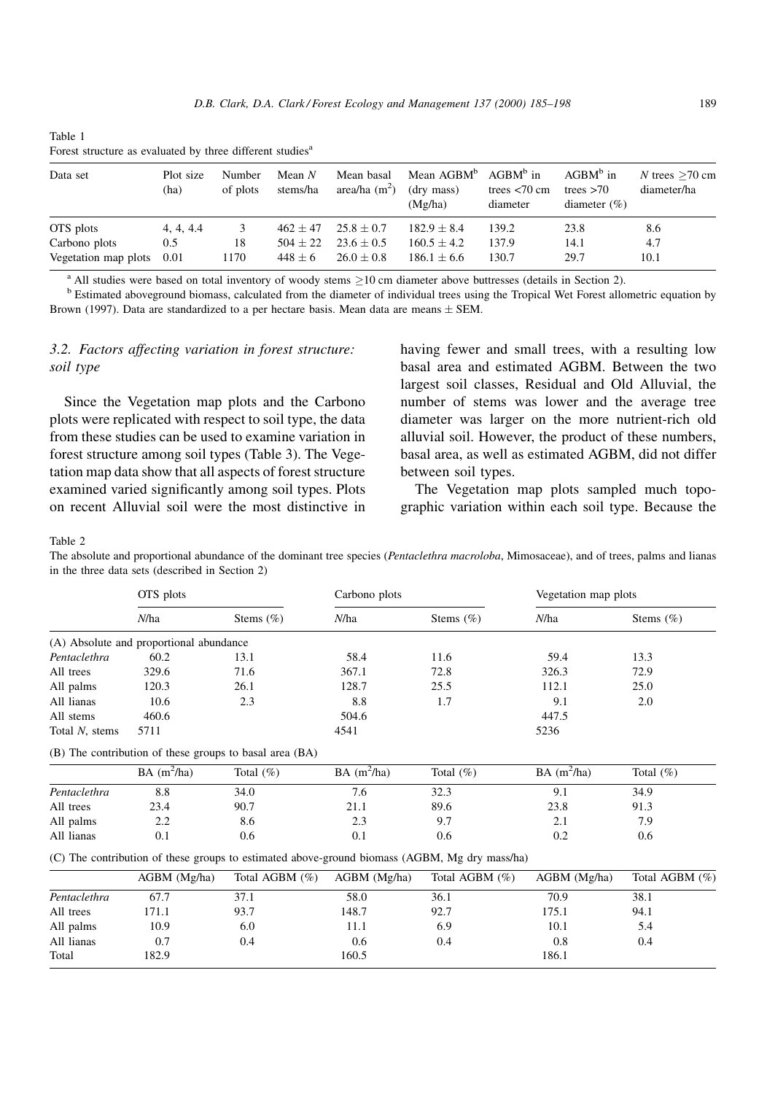| Data set                  | Plot size<br>(ha) | Number<br>of plots | Mean $N$<br>stems/ha | Mean basal<br>area/ha $(m^2)$ | Mean AGBM <sup>b</sup><br>(dry mass)<br>(Mg/ha) | $AGBMb$ in<br>trees $<$ 70 cm<br>diameter | $AGBM^b$ in<br>trees $>70$<br>diameter $(\% )$ | N trees $>70$ cm<br>diameter/ha |
|---------------------------|-------------------|--------------------|----------------------|-------------------------------|-------------------------------------------------|-------------------------------------------|------------------------------------------------|---------------------------------|
| OTS plots                 | 4.4.4.4           | 3                  | $462 + 47$           | $25.8 + 0.7$                  | $182.9 + 8.4$                                   | 139.2                                     | 23.8                                           | 8.6                             |
| Carbono plots             | 0.5               | 18                 | $504 \pm 22$         | $23.6 \pm 0.5$                | $160.5 + 4.2$                                   | 137.9                                     | 14.1                                           | 4.7                             |
| Vegetation map plots 0.01 |                   | 1170               | $448 + 6$            | $26.0 + 0.8$                  | $186.1 + 6.6$                                   | 130.7                                     | 29.7                                           | 10.1                            |

<sup>a</sup> All studies were based on total inventory of woody stems  $\geq$ 10 cm diameter above buttresses (details in Section 2).<br><sup>b</sup> Estimated aboveground biomass, calculated from the diameter of individual trees using the Tropi Brown (1997). Data are standardized to a per hectare basis. Mean data are means  $\pm$  SEM.

## 3.2. Factors affecting variation in forest structure: soil type

Forest structure as evaluated by three different studies<sup>a</sup>

Since the Vegetation map plots and the Carbono plots were replicated with respect to soil type, the data from these studies can be used to examine variation in forest structure among soil types (Table 3). The Vegetation map data show that all aspects of forest structure examined varied significantly among soil types. Plots on recent Alluvial soil were the most distinctive in

having fewer and small trees, with a resulting low basal area and estimated AGBM. Between the two largest soil classes, Residual and Old Alluvial, the number of stems was lower and the average tree diameter was larger on the more nutrient-rich old alluvial soil. However, the product of these numbers, basal area, as well as estimated AGBM, did not differ between soil types.

The Vegetation map plots sampled much topographic variation within each soil type. Because the

Table 2

Table 1

The absolute and proportional abundance of the dominant tree species (Pentaclethra macroloba, Mimosaceae), and of trees, palms and lianas in the three data sets (described in Section 2)

|                | OTS plots                               |                                                         | Carbono plots                      |                                                                                               | Vegetation map plots               |                |
|----------------|-----------------------------------------|---------------------------------------------------------|------------------------------------|-----------------------------------------------------------------------------------------------|------------------------------------|----------------|
|                | N/ha                                    | Stems $(\%)$                                            | N/ha                               | Stems $(\% )$                                                                                 | N/ha                               | Stems $(\% )$  |
|                | (A) Absolute and proportional abundance |                                                         |                                    |                                                                                               |                                    |                |
| Pentaclethra   | 60.2                                    | 13.1                                                    | 58.4                               | 11.6                                                                                          | 59.4                               | 13.3           |
| All trees      | 329.6                                   | 71.6                                                    | 367.1                              | 72.8                                                                                          | 326.3                              | 72.9           |
| All palms      | 120.3                                   | 26.1                                                    | 128.7                              | 25.5                                                                                          | 112.1                              | 25.0           |
| All lianas     | 10.6                                    | 2.3                                                     | 8.8                                | 1.7                                                                                           | 9.1                                | 2.0            |
| All stems      | 460.6                                   |                                                         | 504.6                              |                                                                                               | 447.5                              |                |
| Total N, stems | 5711                                    |                                                         | 4541                               |                                                                                               | 5236                               |                |
|                |                                         | (B) The contribution of these groups to basal area (BA) |                                    |                                                                                               |                                    |                |
|                | $BA (m^2/ha)$                           | Total $(\%)$                                            | $BA \left( \frac{m^2}{ha} \right)$ | Total $(\%)$                                                                                  | $BA \left( \frac{m^2}{ha} \right)$ | Total $(\%)$   |
| Pentaclethra   | 8.8                                     | 34.0                                                    | 7.6                                | 32.3                                                                                          | 9.1                                | 34.9           |
| All trees      | 23.4                                    | 90.7                                                    | 21.1                               | 89.6                                                                                          | 23.8                               | 91.3           |
| All palms      | 2.2                                     | 8.6                                                     | 2.3                                | 9.7                                                                                           | 2.1                                | 7.9            |
| All lianas     | 0.1                                     | 0.6                                                     | 0.1                                | 0.6                                                                                           | 0.2                                | 0.6            |
|                |                                         |                                                         |                                    | (C) The contribution of these groups to estimated above-ground biomass (AGBM, Mg dry mass/ha) |                                    |                |
|                | AGBM (Mg/ha)                            | Total AGBM (%)                                          | AGBM (Mg/ha)                       | Total AGBM (%)                                                                                | AGBM (Mg/ha)                       | Total AGBM (%) |
| Pentaclethra   | 67.7                                    | 37.1                                                    | 58.0                               | 36.1                                                                                          | 70.9                               | 38.1           |
| All trees      | 171.1                                   | 93.7                                                    | 148.7                              | 92.7                                                                                          | 175.1                              | 94.1           |
| All palms      | 10.9                                    | 6.0                                                     | 11.1                               | 6.9                                                                                           | 10.1                               | 5.4            |
| All lianas     | 0.7                                     | 0.4                                                     | 0.6                                | 0.4                                                                                           | 0.8                                | 0.4            |
| Total          | 182.9                                   |                                                         | 160.5                              |                                                                                               | 186.1                              |                |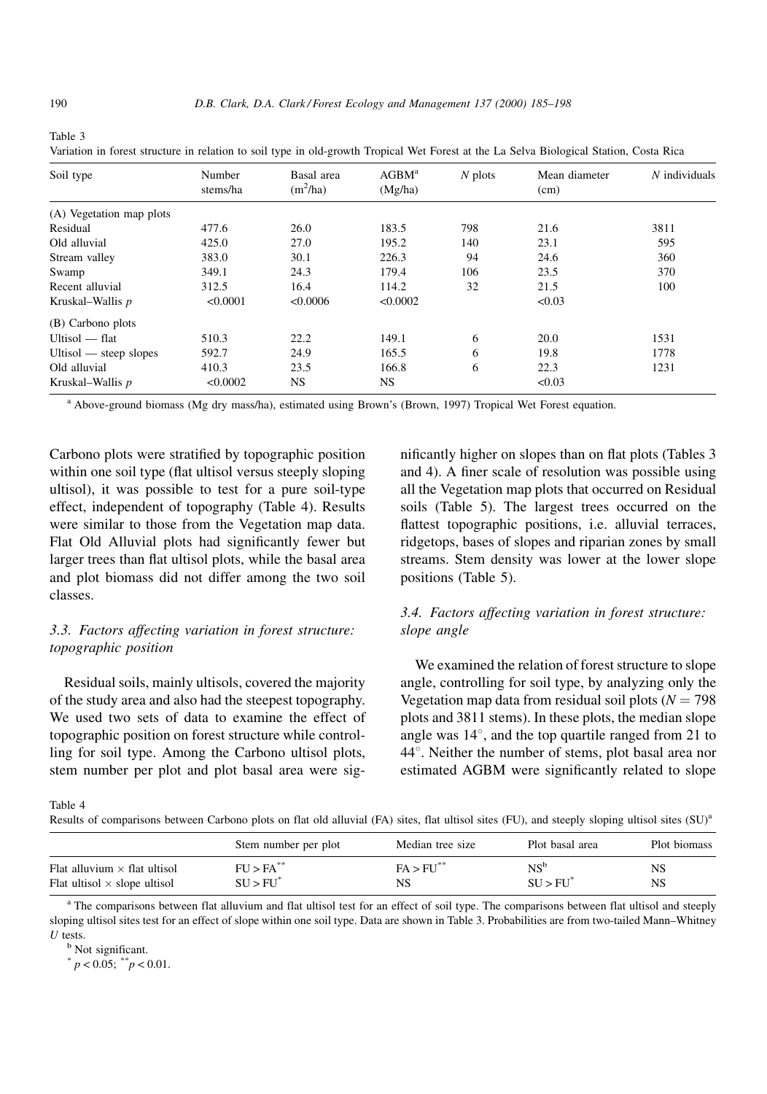| Soil type                | Number<br>stems/ha | Basal area<br>$(m^2/ha)$ | AGBM <sup>a</sup><br>(Mg/ha) | $N$ plots | Mean diameter<br>(cm) | $N$ individuals |
|--------------------------|--------------------|--------------------------|------------------------------|-----------|-----------------------|-----------------|
| (A) Vegetation map plots |                    |                          |                              |           |                       |                 |
| Residual                 | 477.6              | 26.0                     | 183.5                        | 798       | 21.6                  | 3811            |
| Old alluvial             | 425.0              | 27.0                     | 195.2                        | 140       | 23.1                  | 595             |
| Stream valley            | 383.0              | 30.1                     | 226.3                        | 94        | 24.6                  | 360             |
| Swamp                    | 349.1              | 24.3                     | 179.4                        | 106       | 23.5                  | 370             |
| Recent alluvial          | 312.5              | 16.4                     | 114.2                        | 32        | 21.5                  | 100             |
| Kruskal–Wallis p         | < 0.0001           | < 0.0006                 | < 0.0002                     |           | < 0.03                |                 |
| (B) Carbono plots        |                    |                          |                              |           |                       |                 |
| Ultisol — flat           | 510.3              | 22.2                     | 149.1                        | 6         | 20.0                  | 1531            |
| $Ultisol$ — steep slopes | 592.7              | 24.9                     | 165.5                        | 6         | 19.8                  | 1778            |
| Old alluvial             | 410.3              | 23.5                     | 166.8                        | 6         | 22.3                  | 1231            |
| Kruskal–Wallis p         | < 0.0002           | <b>NS</b>                | NS.                          |           | < 0.03                |                 |
|                          |                    |                          |                              |           |                       |                 |

Variation in forest structure in relation to soil type in old-growth Tropical Wet Forest at the La Selva Biological Station, Costa Rica

<sup>a</sup> Above-ground biomass (Mg dry mass/ha), estimated using Brown's (Brown, 1997) Tropical Wet Forest equation.

Carbono plots were stratified by topographic position within one soil type (flat ultisol versus steeply sloping) ultisol), it was possible to test for a pure soil-type effect, independent of topography (Table 4). Results were similar to those from the Vegetation map data. Flat Old Alluvial plots had significantly fewer but larger trees than flat ultisol plots, while the basal area and plot biomass did not differ among the two soil classes.

# 3.3. Factors affecting variation in forest structure: topographic position

Residual soils, mainly ultisols, covered the majority of the study area and also had the steepest topography. We used two sets of data to examine the effect of topographic position on forest structure while controlling for soil type. Among the Carbono ultisol plots, stem number per plot and plot basal area were sig-

nificantly higher on slopes than on flat plots (Tables 3 and 4). A finer scale of resolution was possible using all the Vegetation map plots that occurred on Residual soils (Table 5). The largest trees occurred on the flattest topographic positions, i.e. alluvial terraces, ridgetops, bases of slopes and riparian zones by small streams. Stem density was lower at the lower slope positions (Table 5).

# 3.4. Factors affecting variation in forest structure: slope angle

We examined the relation of forest structure to slope angle, controlling for soil type, by analyzing only the Vegetation map data from residual soil plots ( $N = 798$ ) plots and 3811 stems). In these plots, the median slope angle was  $14^{\circ}$ , and the top quartile ranged from 21 to 44°. Neither the number of stems, plot basal area nor estimated AGBM were significantly related to slope

Table 4

Results of comparisons between Carbono plots on flat old alluvial (FA) sites, flat ultisol sites (FU), and steeply sloping ultisol sites (SU)<sup>a</sup>

|                                     | Stem number per plot   | Median tree size | Plot basal area | Plot biomass |
|-------------------------------------|------------------------|------------------|-----------------|--------------|
| Flat alluvium $\times$ flat ultisol | $FU > FA$ **           | $FA > FI^*$      | $NS^b$          | NS           |
| Flat ultisol $\times$ slope ultisol | $SU > FI$ <sup>*</sup> | NS               | SIJ > FIJ'      | NS           |

<sup>a</sup> The comparisons between flat alluvium and flat ultisol test for an effect of soil type. The comparisons between flat ultisol and steeply sloping ultisol sites test for an effect of slope within one soil type. Data are shown in Table 3. Probabilities are from two-tailed Mann-Whitney U tests.

<sup>b</sup> Not significant.

 $p < 0.05$ ;  $\binom{**}{p} < 0.01$ .

Table 3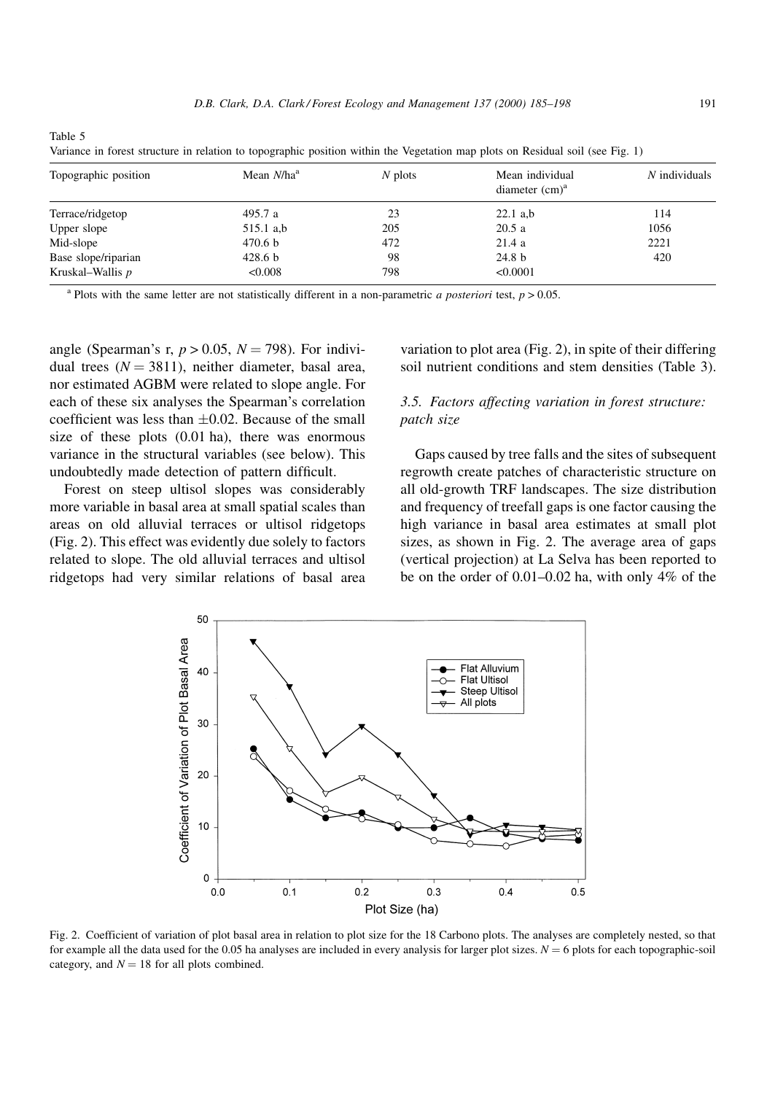Table 5

Variance in forest structure in relation to topographic position within the Vegetation map plots on Residual soil (see Fig. 1)

| Mean $N/ha^a$      | $N$ plots | Mean individual<br>diameter $(cm)^a$ | $N$ individuals |
|--------------------|-----------|--------------------------------------|-----------------|
| 495.7 a            | 23        | $22.1$ a,b                           | 114             |
| 515.1 a,b          | 205       | 20.5a                                | 1056            |
| 470.6 <sub>b</sub> | 472       | 21.4a                                | 2221            |
| 428.6 <sub>b</sub> | 98        | 24.8 <sub>b</sub>                    | 420             |
| < 0.008            | 798       | < 0.0001                             |                 |
|                    |           |                                      |                 |

<sup>a</sup> Plots with the same letter are not statistically different in a non-parametric *a posteriori* test,  $p > 0.05$ .

angle (Spearman's r,  $p > 0.05$ ,  $N = 798$ ). For individual trees ( $N = 3811$ ), neither diameter, basal area, nor estimated AGBM were related to slope angle. For each of these six analyses the Spearman's correlation coefficient was less than  $\pm 0.02$ . Because of the small size of these plots (0.01 ha), there was enormous variance in the structural variables (see below). This undoubtedly made detection of pattern difficult.

Forest on steep ultisol slopes was considerably more variable in basal area at small spatial scales than areas on old alluvial terraces or ultisol ridgetops (Fig. 2). This effect was evidently due solely to factors related to slope. The old alluvial terraces and ultisol ridgetops had very similar relations of basal area

variation to plot area (Fig. 2), in spite of their differing soil nutrient conditions and stem densities (Table 3).

# 3.5. Factors affecting variation in forest structure: patch size

Gaps caused by tree falls and the sites of subsequent regrowth create patches of characteristic structure on all old-growth TRF landscapes. The size distribution and frequency of treefall gaps is one factor causing the high variance in basal area estimates at small plot sizes, as shown in Fig. 2. The average area of gaps (vertical projection) at La Selva has been reported to be on the order of  $0.01-0.02$  ha, with only 4% of the



Fig. 2. Coefficient of variation of plot basal area in relation to plot size for the 18 Carbono plots. The analyses are completely nested, so that for example all the data used for the 0.05 ha analyses are included in every analysis for larger plot sizes.  $N = 6$  plots for each topographic-soil category, and  $N = 18$  for all plots combined.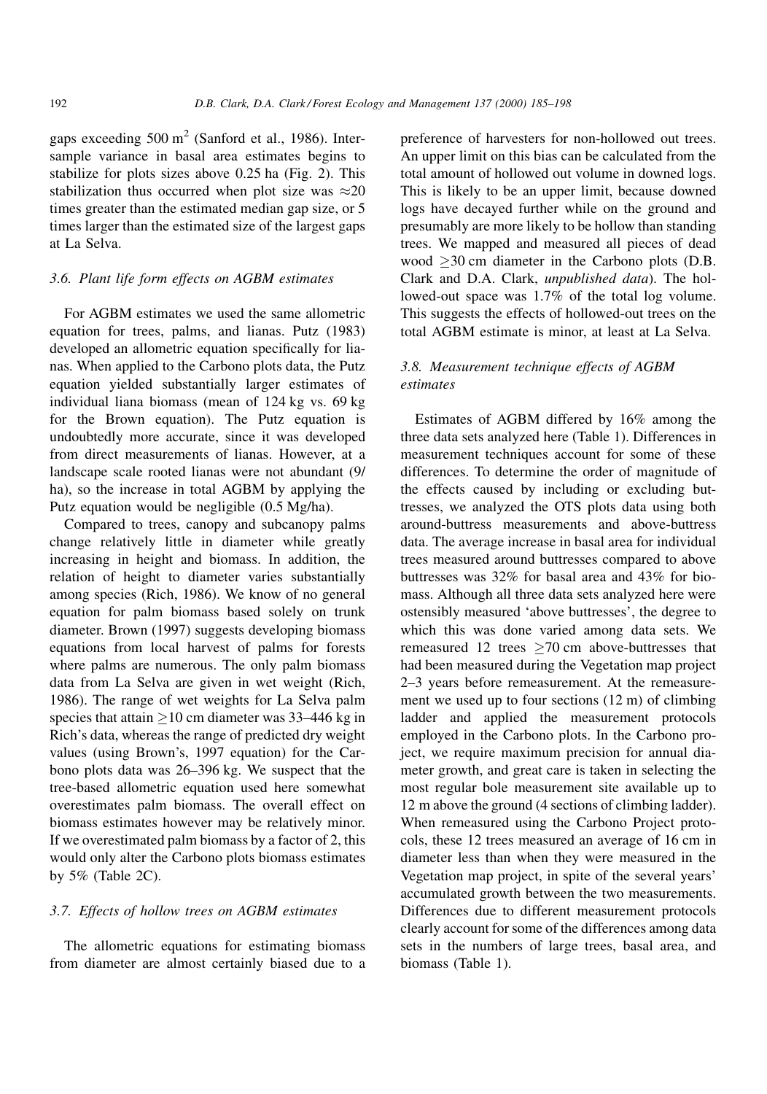gaps exceeding  $500 \text{ m}^2$  (Sanford et al., 1986). Intersample variance in basal area estimates begins to stabilize for plots sizes above 0.25 ha (Fig. 2). This stabilization thus occurred when plot size was  $\approx 20$ times greater than the estimated median gap size, or 5 times larger than the estimated size of the largest gaps at La Selva.

## 3.6. Plant life form effects on AGBM estimates

For AGBM estimates we used the same allometric equation for trees, palms, and lianas. Putz (1983) developed an allometric equation specifically for lianas. When applied to the Carbono plots data, the Putz equation yielded substantially larger estimates of individual liana biomass (mean of 124 kg vs. 69 kg for the Brown equation). The Putz equation is undoubtedly more accurate, since it was developed from direct measurements of lianas. However, at a landscape scale rooted lianas were not abundant (9/ ha), so the increase in total AGBM by applying the Putz equation would be negligible (0.5 Mg/ha).

Compared to trees, canopy and subcanopy palms change relatively little in diameter while greatly increasing in height and biomass. In addition, the relation of height to diameter varies substantially among species (Rich, 1986). We know of no general equation for palm biomass based solely on trunk diameter. Brown (1997) suggests developing biomass equations from local harvest of palms for forests where palms are numerous. The only palm biomass data from La Selva are given in wet weight (Rich, 1986). The range of wet weights for La Selva palm species that attain  $> 10$  cm diameter was 33–446 kg in Rich's data, whereas the range of predicted dry weight values (using Brown's, 1997 equation) for the Carbono plots data was 26–396 kg. We suspect that the tree-based allometric equation used here somewhat overestimates palm biomass. The overall effect on biomass estimates however may be relatively minor. If we overestimated palm biomass by a factor of 2, this would only alter the Carbono plots biomass estimates by 5% (Table 2C).

#### 3.7. Effects of hollow trees on AGBM estimates

The allometric equations for estimating biomass from diameter are almost certainly biased due to a preference of harvesters for non-hollowed out trees. An upper limit on this bias can be calculated from the total amount of hollowed out volume in downed logs. This is likely to be an upper limit, because downed logs have decayed further while on the ground and presumably are more likely to be hollow than standing trees. We mapped and measured all pieces of dead wood  $>30$  cm diameter in the Carbono plots (D.B. Clark and D.A. Clark, unpublished data). The hollowed-out space was 1.7% of the total log volume. This suggests the effects of hollowed-out trees on the total AGBM estimate is minor, at least at La Selva.

# 3.8. Measurement technique effects of AGBM estimates

Estimates of AGBM differed by 16% among the three data sets analyzed here (Table 1). Differences in measurement techniques account for some of these differences. To determine the order of magnitude of the effects caused by including or excluding buttresses, we analyzed the OTS plots data using both around-buttress measurements and above-buttress data. The average increase in basal area for individual trees measured around buttresses compared to above buttresses was 32% for basal area and 43% for biomass. Although all three data sets analyzed here were ostensibly measured `above buttresses', the degree to which this was done varied among data sets. We remeasured 12 trees  $\geq$  70 cm above-buttresses that had been measured during the Vegetation map project 2-3 years before remeasurement. At the remeasurement we used up to four sections (12 m) of climbing ladder and applied the measurement protocols employed in the Carbono plots. In the Carbono project, we require maximum precision for annual diameter growth, and great care is taken in selecting the most regular bole measurement site available up to 12 m above the ground (4 sections of climbing ladder). When remeasured using the Carbono Project protocols, these 12 trees measured an average of 16 cm in diameter less than when they were measured in the Vegetation map project, in spite of the several years' accumulated growth between the two measurements. Differences due to different measurement protocols clearly account for some of the differences among data sets in the numbers of large trees, basal area, and biomass (Table 1).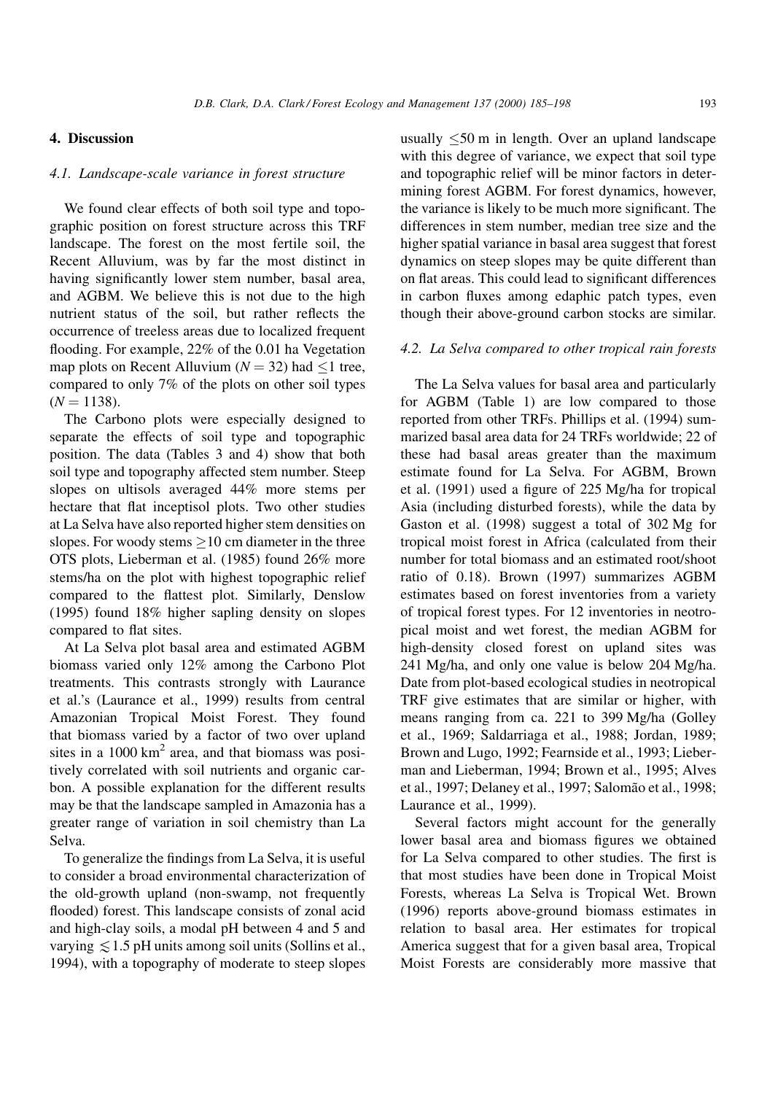## 4. Discussion

#### 4.1. Landscape-scale variance in forest structure

We found clear effects of both soil type and topographic position on forest structure across this TRF landscape. The forest on the most fertile soil, the Recent Alluvium, was by far the most distinct in having significantly lower stem number, basal area, and AGBM. We believe this is not due to the high nutrient status of the soil, but rather reflects the occurrence of treeless areas due to localized frequent flooding. For example,  $22\%$  of the 0.01 ha Vegetation map plots on Recent Alluvium ( $N = 32$ ) had  $\leq 1$  tree, compared to only 7% of the plots on other soil types  $(N = 1138)$ .

The Carbono plots were especially designed to separate the effects of soil type and topographic position. The data (Tables 3 and 4) show that both soil type and topography affected stem number. Steep slopes on ultisols averaged 44% more stems per hectare that flat inceptisol plots. Two other studies at La Selva have also reported higher stem densities on slopes. For woody stems  $>10$  cm diameter in the three OTS plots, Lieberman et al. (1985) found 26% more stems/ha on the plot with highest topographic relief compared to the flattest plot. Similarly, Denslow (1995) found 18% higher sapling density on slopes compared to flat sites.

At La Selva plot basal area and estimated AGBM biomass varied only 12% among the Carbono Plot treatments. This contrasts strongly with Laurance et al.'s (Laurance et al., 1999) results from central Amazonian Tropical Moist Forest. They found that biomass varied by a factor of two over upland sites in a  $1000 \text{ km}^2$  area, and that biomass was positively correlated with soil nutrients and organic carbon. A possible explanation for the different results may be that the landscape sampled in Amazonia has a greater range of variation in soil chemistry than La Selva.

To generalize the findings from La Selva, it is useful to consider a broad environmental characterization of the old-growth upland (non-swamp, not frequently flooded) forest. This landscape consists of zonal acid and high-clay soils, a modal pH between 4 and 5 and varying  $\leq 1.5$  pH units among soil units (Sollins et al., 1994), with a topography of moderate to steep slopes

usually  $\leq 50$  m in length. Over an upland landscape with this degree of variance, we expect that soil type and topographic relief will be minor factors in determining forest AGBM. For forest dynamics, however, the variance is likely to be much more significant. The differences in stem number, median tree size and the higher spatial variance in basal area suggest that forest dynamics on steep slopes may be quite different than on flat areas. This could lead to significant differences in carbon fluxes among edaphic patch types, even though their above-ground carbon stocks are similar.

#### 4.2. La Selva compared to other tropical rain forests

The La Selva values for basal area and particularly for AGBM (Table 1) are low compared to those reported from other TRFs. Phillips et al. (1994) summarized basal area data for 24 TRFs worldwide; 22 of these had basal areas greater than the maximum estimate found for La Selva. For AGBM, Brown et al. (1991) used a figure of 225 Mg/ha for tropical Asia (including disturbed forests), while the data by Gaston et al. (1998) suggest a total of 302 Mg for tropical moist forest in Africa (calculated from their number for total biomass and an estimated root/shoot ratio of 0.18). Brown (1997) summarizes AGBM estimates based on forest inventories from a variety of tropical forest types. For 12 inventories in neotropical moist and wet forest, the median AGBM for high-density closed forest on upland sites was 241 Mg/ha, and only one value is below 204 Mg/ha. Date from plot-based ecological studies in neotropical TRF give estimates that are similar or higher, with means ranging from ca. 221 to 399 Mg/ha (Golley et al., 1969; Saldarriaga et al., 1988; Jordan, 1989; Brown and Lugo, 1992; Fearnside et al., 1993; Lieberman and Lieberman, 1994; Brown et al., 1995; Alves et al., 1997; Delaney et al., 1997; Salomão et al., 1998; Laurance et al., 1999).

Several factors might account for the generally lower basal area and biomass figures we obtained for La Selva compared to other studies. The first is that most studies have been done in Tropical Moist Forests, whereas La Selva is Tropical Wet. Brown (1996) reports above-ground biomass estimates in relation to basal area. Her estimates for tropical America suggest that for a given basal area, Tropical Moist Forests are considerably more massive that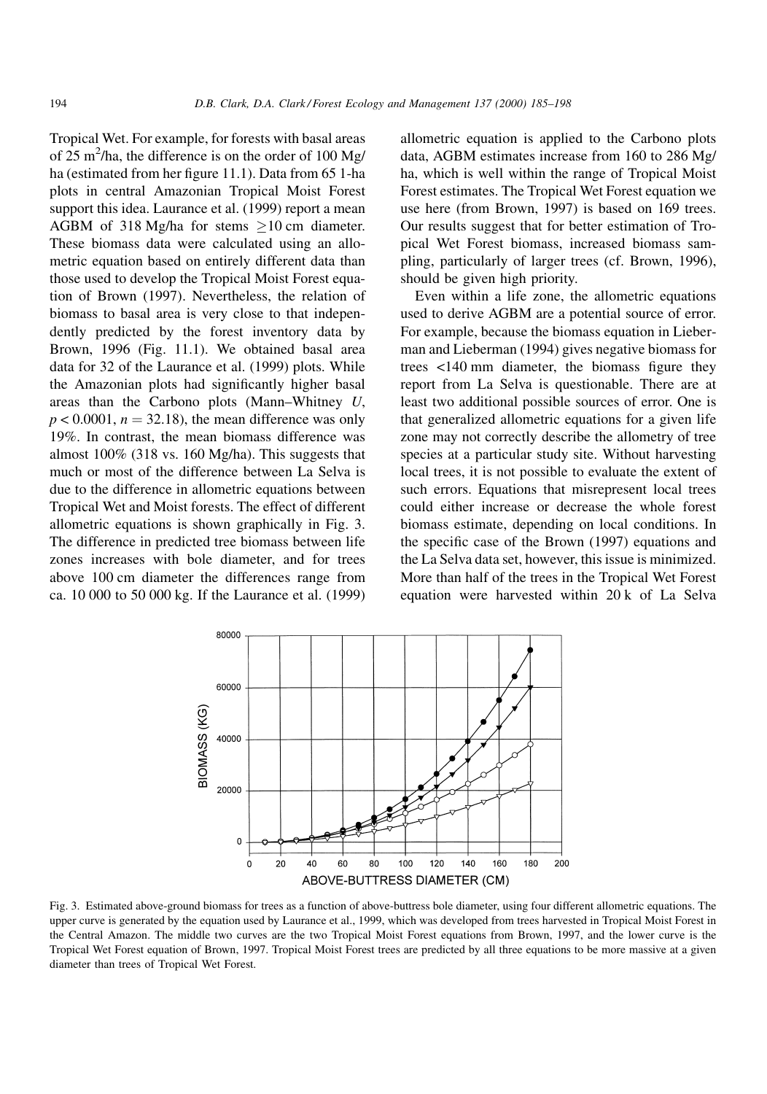Tropical Wet. For example, for forests with basal areas of  $25 \text{ m}^2$ /ha, the difference is on the order of 100 Mg/ ha (estimated from her figure 11.1). Data from 65 1-ha plots in central Amazonian Tropical Moist Forest support this idea. Laurance et al. (1999) report a mean AGBM of 318 Mg/ha for stems  $>10$  cm diameter. These biomass data were calculated using an allometric equation based on entirely different data than those used to develop the Tropical Moist Forest equation of Brown (1997). Nevertheless, the relation of biomass to basal area is very close to that independently predicted by the forest inventory data by Brown, 1996 (Fig. 11.1). We obtained basal area data for 32 of the Laurance et al. (1999) plots. While the Amazonian plots had significantly higher basal areas than the Carbono plots (Mann-Whitney  $U$ ,  $p < 0.0001$ ,  $n = 32.18$ ), the mean difference was only 19%. In contrast, the mean biomass difference was almost 100% (318 vs. 160 Mg/ha). This suggests that much or most of the difference between La Selva is due to the difference in allometric equations between Tropical Wet and Moist forests. The effect of different allometric equations is shown graphically in Fig. 3. The difference in predicted tree biomass between life zones increases with bole diameter, and for trees above 100 cm diameter the differences range from ca. 10 000 to 50 000 kg. If the Laurance et al. (1999)

allometric equation is applied to the Carbono plots data, AGBM estimates increase from 160 to 286 Mg/ ha, which is well within the range of Tropical Moist Forest estimates. The Tropical Wet Forest equation we use here (from Brown, 1997) is based on 169 trees. Our results suggest that for better estimation of Tropical Wet Forest biomass, increased biomass sampling, particularly of larger trees (cf. Brown, 1996), should be given high priority.

Even within a life zone, the allometric equations used to derive AGBM are a potential source of error. For example, because the biomass equation in Lieberman and Lieberman (1994) gives negative biomass for trees  $<$ 140 mm diameter, the biomass figure they report from La Selva is questionable. There are at least two additional possible sources of error. One is that generalized allometric equations for a given life zone may not correctly describe the allometry of tree species at a particular study site. Without harvesting local trees, it is not possible to evaluate the extent of such errors. Equations that misrepresent local trees could either increase or decrease the whole forest biomass estimate, depending on local conditions. In the specific case of the Brown (1997) equations and the La Selva data set, however, this issue is minimized. More than half of the trees in the Tropical Wet Forest equation were harvested within 20 k of La Selva



Fig. 3. Estimated above-ground biomass for trees as a function of above-buttress bole diameter, using four different allometric equations. The upper curve is generated by the equation used by Laurance et al., 1999, which was developed from trees harvested in Tropical Moist Forest in the Central Amazon. The middle two curves are the two Tropical Moist Forest equations from Brown, 1997, and the lower curve is the Tropical Wet Forest equation of Brown, 1997. Tropical Moist Forest trees are predicted by all three equations to be more massive at a given diameter than trees of Tropical Wet Forest.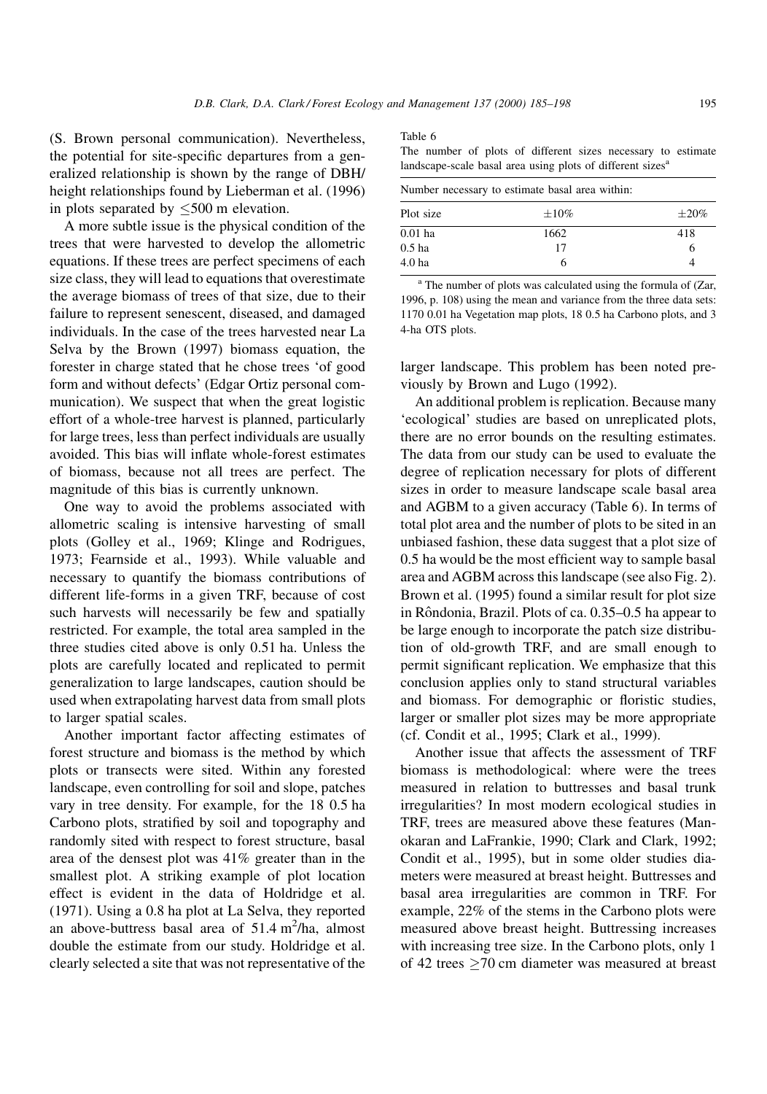(S. Brown personal communication). Nevertheless, the potential for site-specific departures from a generalized relationship is shown by the range of DBH/ height relationships found by Lieberman et al. (1996) in plots separated by  $\leq 500$  m elevation.

A more subtle issue is the physical condition of the trees that were harvested to develop the allometric equations. If these trees are perfect specimens of each size class, they will lead to equations that overestimate the average biomass of trees of that size, due to their failure to represent senescent, diseased, and damaged individuals. In the case of the trees harvested near La Selva by the Brown (1997) biomass equation, the forester in charge stated that he chose trees `of good form and without defects' (Edgar Ortiz personal communication). We suspect that when the great logistic effort of a whole-tree harvest is planned, particularly for large trees, less than perfect individuals are usually avoided. This bias will inflate whole-forest estimates of biomass, because not all trees are perfect. The magnitude of this bias is currently unknown.

One way to avoid the problems associated with allometric scaling is intensive harvesting of small plots (Golley et al., 1969; Klinge and Rodrigues, 1973; Fearnside et al., 1993). While valuable and necessary to quantify the biomass contributions of different life-forms in a given TRF, because of cost such harvests will necessarily be few and spatially restricted. For example, the total area sampled in the three studies cited above is only 0.51 ha. Unless the plots are carefully located and replicated to permit generalization to large landscapes, caution should be used when extrapolating harvest data from small plots to larger spatial scales.

Another important factor affecting estimates of forest structure and biomass is the method by which plots or transects were sited. Within any forested landscape, even controlling for soil and slope, patches vary in tree density. For example, for the 18 0.5 ha Carbono plots, stratified by soil and topography and randomly sited with respect to forest structure, basal area of the densest plot was 41% greater than in the smallest plot. A striking example of plot location effect is evident in the data of Holdridge et al. (1971). Using a 0.8 ha plot at La Selva, they reported an above-buttress basal area of  $51.4 \text{ m}^2/\text{ha}$ , almost double the estimate from our study. Holdridge et al. clearly selected a site that was not representative of the

#### Table 6

The number of plots of different sizes necessary to estimate landscape-scale basal area using plots of different sizes<sup>a</sup>

Number necessary to estimate basal area within:

| Plot size         | $\pm 10\%$ | $\pm 20\%$ |
|-------------------|------------|------------|
| $0.01$ ha         | 1662       | 418        |
| $0.5$ ha          | 17         | 6          |
| 4.0 <sub>ha</sub> | h          | 4          |

 $a<sup>a</sup>$  The number of plots was calculated using the formula of (Zar, 1996, p. 108) using the mean and variance from the three data sets: 1170 0.01 ha Vegetation map plots, 18 0.5 ha Carbono plots, and 3 4-ha OTS plots.

larger landscape. This problem has been noted previously by Brown and Lugo (1992).

An additional problem is replication. Because many `ecological' studies are based on unreplicated plots, there are no error bounds on the resulting estimates. The data from our study can be used to evaluate the degree of replication necessary for plots of different sizes in order to measure landscape scale basal area and AGBM to a given accuracy (Table 6). In terms of total plot area and the number of plots to be sited in an unbiased fashion, these data suggest that a plot size of 0.5 ha would be the most efficient way to sample basal area and AGBM across this landscape (see also Fig. 2). Brown et al. (1995) found a similar result for plot size in Rôndonia, Brazil. Plots of ca. 0.35–0.5 ha appear to be large enough to incorporate the patch size distribution of old-growth TRF, and are small enough to permit significant replication. We emphasize that this conclusion applies only to stand structural variables and biomass. For demographic or floristic studies, larger or smaller plot sizes may be more appropriate (cf. Condit et al., 1995; Clark et al., 1999).

Another issue that affects the assessment of TRF biomass is methodological: where were the trees measured in relation to buttresses and basal trunk irregularities? In most modern ecological studies in TRF, trees are measured above these features (Manokaran and LaFrankie, 1990; Clark and Clark, 1992; Condit et al., 1995), but in some older studies diameters were measured at breast height. Buttresses and basal area irregularities are common in TRF. For example, 22% of the stems in the Carbono plots were measured above breast height. Buttressing increases with increasing tree size. In the Carbono plots, only 1 of 42 trees  $\geq$ 70 cm diameter was measured at breast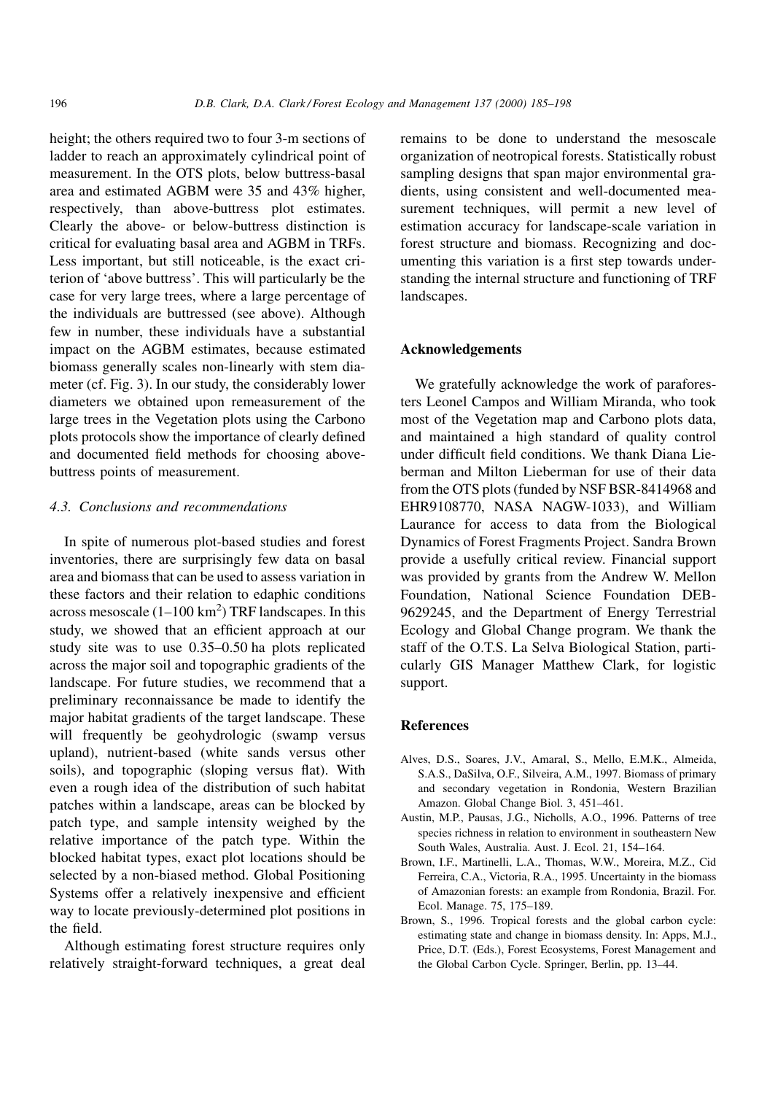height; the others required two to four 3-m sections of ladder to reach an approximately cylindrical point of measurement. In the OTS plots, below buttress-basal area and estimated AGBM were 35 and 43% higher, respectively, than above-buttress plot estimates. Clearly the above- or below-buttress distinction is critical for evaluating basal area and AGBM in TRFs. Less important, but still noticeable, is the exact criterion of `above buttress'. This will particularly be the case for very large trees, where a large percentage of the individuals are buttressed (see above). Although few in number, these individuals have a substantial impact on the AGBM estimates, because estimated biomass generally scales non-linearly with stem diameter (cf. Fig. 3). In our study, the considerably lower diameters we obtained upon remeasurement of the large trees in the Vegetation plots using the Carbono plots protocols show the importance of clearly defined and documented field methods for choosing abovebuttress points of measurement.

#### 4.3. Conclusions and recommendations

In spite of numerous plot-based studies and forest inventories, there are surprisingly few data on basal area and biomass that can be used to assess variation in these factors and their relation to edaphic conditions across mesoscale  $(1-100 \text{ km}^2)$  TRF landscapes. In this study, we showed that an efficient approach at our study site was to use  $0.35-0.50$  ha plots replicated across the major soil and topographic gradients of the landscape. For future studies, we recommend that a preliminary reconnaissance be made to identify the major habitat gradients of the target landscape. These will frequently be geohydrologic (swamp versus upland), nutrient-based (white sands versus other soils), and topographic (sloping versus flat). With even a rough idea of the distribution of such habitat patches within a landscape, areas can be blocked by patch type, and sample intensity weighed by the relative importance of the patch type. Within the blocked habitat types, exact plot locations should be selected by a non-biased method. Global Positioning Systems offer a relatively inexpensive and efficient way to locate previously-determined plot positions in the field.

Although estimating forest structure requires only relatively straight-forward techniques, a great deal remains to be done to understand the mesoscale organization of neotropical forests. Statistically robust sampling designs that span major environmental gradients, using consistent and well-documented measurement techniques, will permit a new level of estimation accuracy for landscape-scale variation in forest structure and biomass. Recognizing and documenting this variation is a first step towards understanding the internal structure and functioning of TRF landscapes.

#### Acknowledgements

We gratefully acknowledge the work of paraforesters Leonel Campos and William Miranda, who took most of the Vegetation map and Carbono plots data, and maintained a high standard of quality control under difficult field conditions. We thank Diana Lieberman and Milton Lieberman for use of their data from the OTS plots (funded by NSF BSR-8414968 and EHR9108770, NASA NAGW-1033), and William Laurance for access to data from the Biological Dynamics of Forest Fragments Project. Sandra Brown provide a usefully critical review. Financial support was provided by grants from the Andrew W. Mellon Foundation, National Science Foundation DEB-9629245, and the Department of Energy Terrestrial Ecology and Global Change program. We thank the staff of the O.T.S. La Selva Biological Station, particularly GIS Manager Matthew Clark, for logistic support.

#### References

- Alves, D.S., Soares, J.V., Amaral, S., Mello, E.M.K., Almeida, S.A.S., DaSilva, O.F., Silveira, A.M., 1997. Biomass of primary and secondary vegetation in Rondonia, Western Brazilian Amazon. Global Change Biol. 3, 451-461.
- Austin, M.P., Pausas, J.G., Nicholls, A.O., 1996. Patterns of tree species richness in relation to environment in southeastern New South Wales, Australia. Aust. J. Ecol. 21, 154-164.
- Brown, I.F., Martinelli, L.A., Thomas, W.W., Moreira, M.Z., Cid Ferreira, C.A., Victoria, R.A., 1995. Uncertainty in the biomass of Amazonian forests: an example from Rondonia, Brazil. For. Ecol. Manage. 75, 175-189.
- Brown, S., 1996. Tropical forests and the global carbon cycle: estimating state and change in biomass density. In: Apps, M.J., Price, D.T. (Eds.), Forest Ecosystems, Forest Management and the Global Carbon Cycle. Springer, Berlin, pp. 13-44.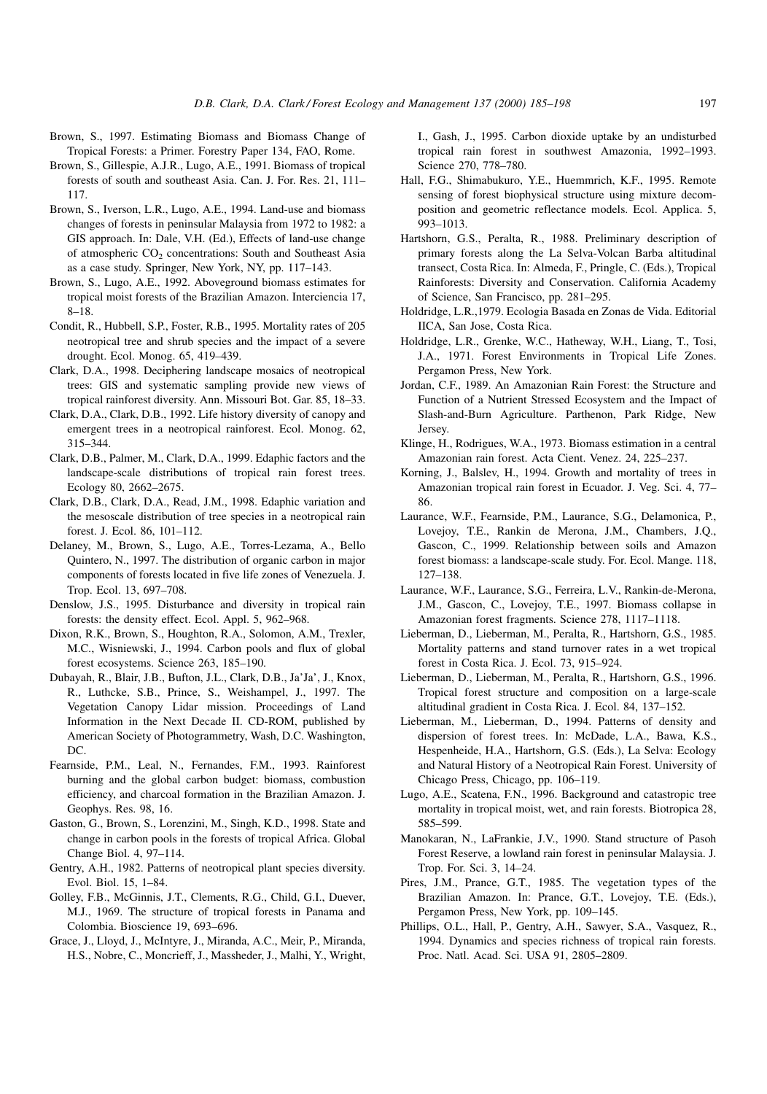- Brown, S., 1997. Estimating Biomass and Biomass Change of Tropical Forests: a Primer. Forestry Paper 134, FAO, Rome.
- Brown, S., Gillespie, A.J.R., Lugo, A.E., 1991. Biomass of tropical forests of south and southeast Asia. Can. J. For. Res. 21, 111-117.
- Brown, S., Iverson, L.R., Lugo, A.E., 1994. Land-use and biomass changes of forests in peninsular Malaysia from 1972 to 1982: a GIS approach. In: Dale, V.H. (Ed.), Effects of land-use change of atmospheric CO<sub>2</sub> concentrations: South and Southeast Asia as a case study. Springer, New York, NY, pp. 117-143.
- Brown, S., Lugo, A.E., 1992. Aboveground biomass estimates for tropical moist forests of the Brazilian Amazon. Interciencia 17, 8±18.
- Condit, R., Hubbell, S.P., Foster, R.B., 1995. Mortality rates of 205 neotropical tree and shrub species and the impact of a severe drought. Ecol. Monog. 65, 419-439.
- Clark, D.A., 1998. Deciphering landscape mosaics of neotropical trees: GIS and systematic sampling provide new views of tropical rainforest diversity. Ann. Missouri Bot. Gar. 85, 18-33.
- Clark, D.A., Clark, D.B., 1992. Life history diversity of canopy and emergent trees in a neotropical rainforest. Ecol. Monog. 62, 315±344.
- Clark, D.B., Palmer, M., Clark, D.A., 1999. Edaphic factors and the landscape-scale distributions of tropical rain forest trees. Ecology 80, 2662-2675.
- Clark, D.B., Clark, D.A., Read, J.M., 1998. Edaphic variation and the mesoscale distribution of tree species in a neotropical rain forest. J. Ecol. 86, 101-112.
- Delaney, M., Brown, S., Lugo, A.E., Torres-Lezama, A., Bello Quintero, N., 1997. The distribution of organic carbon in major components of forests located in five life zones of Venezuela. J. Trop. Ecol. 13, 697-708.
- Denslow, J.S., 1995. Disturbance and diversity in tropical rain forests: the density effect. Ecol. Appl. 5, 962-968.
- Dixon, R.K., Brown, S., Houghton, R.A., Solomon, A.M., Trexler, M.C., Wisniewski, J., 1994. Carbon pools and flux of global forest ecosystems. Science 263, 185-190.
- Dubayah, R., Blair, J.B., Bufton, J.L., Clark, D.B., Ja'Ja', J., Knox, R., Luthcke, S.B., Prince, S., Weishampel, J., 1997. The Vegetation Canopy Lidar mission. Proceedings of Land Information in the Next Decade II. CD-ROM, published by American Society of Photogrammetry, Wash, D.C. Washington, DC.
- Fearnside, P.M., Leal, N., Fernandes, F.M., 1993. Rainforest burning and the global carbon budget: biomass, combustion efficiency, and charcoal formation in the Brazilian Amazon. J. Geophys. Res. 98, 16.
- Gaston, G., Brown, S., Lorenzini, M., Singh, K.D., 1998. State and change in carbon pools in the forests of tropical Africa. Global Change Biol. 4, 97-114.
- Gentry, A.H., 1982. Patterns of neotropical plant species diversity. Evol. Biol. 15, 1-84.
- Golley, F.B., McGinnis, J.T., Clements, R.G., Child, G.I., Duever, M.J., 1969. The structure of tropical forests in Panama and Colombia. Bioscience 19, 693-696.
- Grace, J., Lloyd, J., McIntyre, J., Miranda, A.C., Meir, P., Miranda, H.S., Nobre, C., Moncrieff, J., Massheder, J., Malhi, Y., Wright,

I., Gash, J., 1995. Carbon dioxide uptake by an undisturbed tropical rain forest in southwest Amazonia, 1992-1993. Science 270, 778-780.

- Hall, F.G., Shimabukuro, Y.E., Huemmrich, K.F., 1995. Remote sensing of forest biophysical structure using mixture decomposition and geometric reflectance models. Ecol. Applica. 5, 993±1013.
- Hartshorn, G.S., Peralta, R., 1988. Preliminary description of primary forests along the La Selva-Volcan Barba altitudinal transect, Costa Rica. In: Almeda, F., Pringle, C. (Eds.), Tropical Rainforests: Diversity and Conservation. California Academy of Science, San Francisco, pp. 281-295.
- Holdridge, L.R.,1979. Ecologia Basada en Zonas de Vida. Editorial IICA, San Jose, Costa Rica.
- Holdridge, L.R., Grenke, W.C., Hatheway, W.H., Liang, T., Tosi, J.A., 1971. Forest Environments in Tropical Life Zones. Pergamon Press, New York.
- Jordan, C.F., 1989. An Amazonian Rain Forest: the Structure and Function of a Nutrient Stressed Ecosystem and the Impact of Slash-and-Burn Agriculture. Parthenon, Park Ridge, New Jersey.
- Klinge, H., Rodrigues, W.A., 1973. Biomass estimation in a central Amazonian rain forest. Acta Cient. Venez. 24, 225-237.
- Korning, J., Balslev, H., 1994. Growth and mortality of trees in Amazonian tropical rain forest in Ecuador. J. Veg. Sci. 4, 77-86.
- Laurance, W.F., Fearnside, P.M., Laurance, S.G., Delamonica, P., Lovejoy, T.E., Rankin de Merona, J.M., Chambers, J.Q., Gascon, C., 1999. Relationship between soils and Amazon forest biomass: a landscape-scale study. For. Ecol. Mange. 118, 127±138.
- Laurance, W.F., Laurance, S.G., Ferreira, L.V., Rankin-de-Merona, J.M., Gascon, C., Lovejoy, T.E., 1997. Biomass collapse in Amazonian forest fragments. Science 278, 1117-1118.
- Lieberman, D., Lieberman, M., Peralta, R., Hartshorn, G.S., 1985. Mortality patterns and stand turnover rates in a wet tropical forest in Costa Rica. J. Ecol. 73, 915-924.
- Lieberman, D., Lieberman, M., Peralta, R., Hartshorn, G.S., 1996. Tropical forest structure and composition on a large-scale altitudinal gradient in Costa Rica. J. Ecol. 84, 137-152.
- Lieberman, M., Lieberman, D., 1994. Patterns of density and dispersion of forest trees. In: McDade, L.A., Bawa, K.S., Hespenheide, H.A., Hartshorn, G.S. (Eds.), La Selva: Ecology and Natural History of a Neotropical Rain Forest. University of Chicago Press, Chicago, pp. 106-119.
- Lugo, A.E., Scatena, F.N., 1996. Background and catastropic tree mortality in tropical moist, wet, and rain forests. Biotropica 28, 585±599.
- Manokaran, N., LaFrankie, J.V., 1990. Stand structure of Pasoh Forest Reserve, a lowland rain forest in peninsular Malaysia. J. Trop. For. Sci. 3, 14-24.
- Pires, J.M., Prance, G.T., 1985. The vegetation types of the Brazilian Amazon. In: Prance, G.T., Lovejoy, T.E. (Eds.), Pergamon Press, New York, pp. 109-145.
- Phillips, O.L., Hall, P., Gentry, A.H., Sawyer, S.A., Vasquez, R., 1994. Dynamics and species richness of tropical rain forests. Proc. Natl. Acad. Sci. USA 91, 2805-2809.